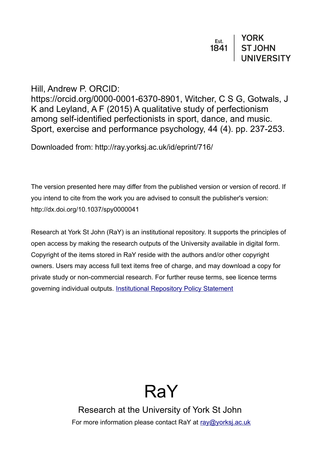# Hill, Andrew P. ORCID:

https://orcid.org/0000-0001-6370-8901, Witcher, C S G, Gotwals, J K and Leyland, A F (2015) A qualitative study of perfectionism among self-identified perfectionists in sport, dance, and music. Sport, exercise and performance psychology, 44 (4). pp. 237-253.

Downloaded from: http://ray.yorksj.ac.uk/id/eprint/716/

The version presented here may differ from the published version or version of record. If you intend to cite from the work you are advised to consult the publisher's version: http://dx.doi.org/10.1037/spy0000041

Research at York St John (RaY) is an institutional repository. It supports the principles of open access by making the research outputs of the University available in digital form. Copyright of the items stored in RaY reside with the authors and/or other copyright owners. Users may access full text items free of charge, and may download a copy for private study or non-commercial research. For further reuse terms, see licence terms governing individual outputs. [Institutional Repository Policy Statement](https://www.yorksj.ac.uk/ils/repository-policies/)



Research at the University of York St John For more information please contact RaY at [ray@yorksj.ac.uk](mailto:ray@yorksj.ac.uk)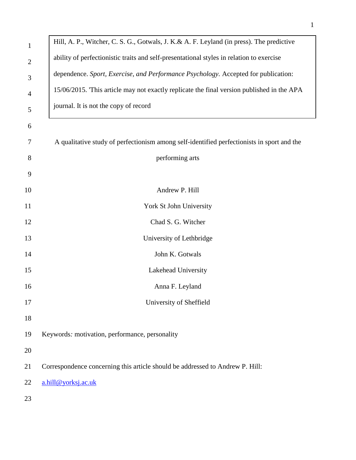| $\mathbf{1}$   | Hill, A. P., Witcher, C. S. G., Gotwals, J. K.& A. F. Leyland (in press). The predictive   |
|----------------|--------------------------------------------------------------------------------------------|
| $\overline{2}$ | ability of perfectionistic traits and self-presentational styles in relation to exercise   |
| $\mathfrak{Z}$ | dependence. Sport, Exercise, and Performance Psychology. Accepted for publication:         |
| $\overline{4}$ | 15/06/2015. This article may not exactly replicate the final version published in the APA  |
| 5              | journal. It is not the copy of record                                                      |
| 6              |                                                                                            |
| 7              | A qualitative study of perfectionism among self-identified perfectionists in sport and the |
| $8\,$          | performing arts                                                                            |
| 9              |                                                                                            |
| 10             | Andrew P. Hill                                                                             |
| 11             | York St John University                                                                    |
| 12             | Chad S. G. Witcher                                                                         |
| 13             | University of Lethbridge                                                                   |
| 14             | John K. Gotwals                                                                            |
| 15             | Lakehead University                                                                        |
| 16             | Anna F. Leyland                                                                            |
| 17             | University of Sheffield                                                                    |
| 18             |                                                                                            |
| 19             | Keywords: motivation, performance, personality                                             |
| 20             |                                                                                            |
| 21             | Correspondence concerning this article should be addressed to Andrew P. Hill:              |
| 22             | a.hill@yorksj.ac.uk                                                                        |
| 23             |                                                                                            |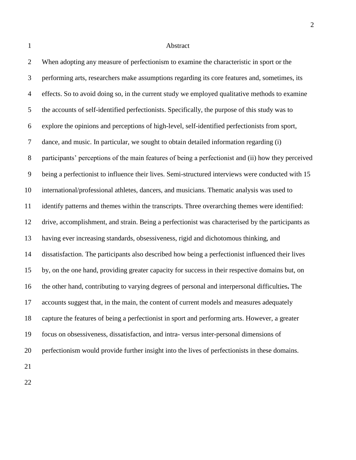#### 1 Abstract

 When adopting any measure of perfectionism to examine the characteristic in sport or the performing arts, researchers make assumptions regarding its core features and, sometimes, its effects. So to avoid doing so, in the current study we employed qualitative methods to examine the accounts of self-identified perfectionists. Specifically, the purpose of this study was to explore the opinions and perceptions of high-level, self-identified perfectionists from sport, dance, and music. In particular, we sought to obtain detailed information regarding (i) participants' perceptions of the main features of being a perfectionist and (ii) how they perceived being a perfectionist to influence their lives. Semi-structured interviews were conducted with 15 international/professional athletes, dancers, and musicians. Thematic analysis was used to identify patterns and themes within the transcripts. Three overarching themes were identified: drive, accomplishment, and strain. Being a perfectionist was characterised by the participants as having ever increasing standards, obsessiveness, rigid and dichotomous thinking, and dissatisfaction. The participants also described how being a perfectionist influenced their lives by, on the one hand, providing greater capacity for success in their respective domains but, on the other hand, contributing to varying degrees of personal and interpersonal difficulties**.** The accounts suggest that, in the main, the content of current models and measures adequately capture the features of being a perfectionist in sport and performing arts. However, a greater focus on obsessiveness, dissatisfaction, and intra- versus inter-personal dimensions of perfectionism would provide further insight into the lives of perfectionists in these domains.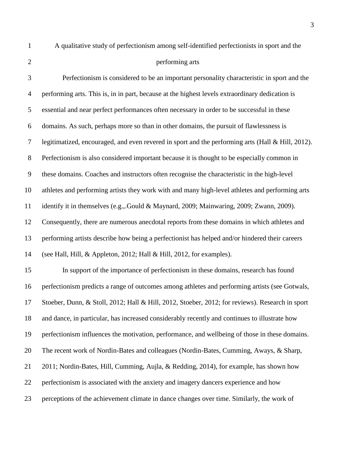A qualitative study of perfectionism among self-identified perfectionists in sport and the

# performing arts

| 3              | Perfectionism is considered to be an important personality characteristic in sport and the        |
|----------------|---------------------------------------------------------------------------------------------------|
| $\overline{4}$ | performing arts. This is, in in part, because at the highest levels extraordinary dedication is   |
| 5              | essential and near perfect performances often necessary in order to be successful in these        |
| 6              | domains. As such, perhaps more so than in other domains, the pursuit of flawlessness is           |
| $\tau$         | legitimatized, encouraged, and even revered in sport and the performing arts (Hall & Hill, 2012). |
| $8\,$          | Perfectionism is also considered important because it is thought to be especially common in       |
| $\mathbf{9}$   | these domains. Coaches and instructors often recognise the characteristic in the high-level       |
| 10             | athletes and performing artists they work with and many high-level athletes and performing arts   |
| 11             | identify it in themselves (e.g., Gould & Maynard, 2009; Mainwaring, 2009; Zwann, 2009).           |
| 12             | Consequently, there are numerous anecdotal reports from these domains in which athletes and       |
| 13             | performing artists describe how being a perfectionist has helped and/or hindered their careers    |
| 14             | (see Hall, Hill, & Appleton, 2012; Hall & Hill, 2012, for examples).                              |
| 15             | In support of the importance of perfectionism in these domains, research has found                |
| 16             | perfectionism predicts a range of outcomes among athletes and performing artists (see Gotwals,    |
| 17             | Stoeber, Dunn, & Stoll, 2012; Hall & Hill, 2012, Stoeber, 2012; for reviews). Research in sport   |
| 18             | and dance, in particular, has increased considerably recently and continues to illustrate how     |
| 19             | perfectionism influences the motivation, performance, and wellbeing of those in these domains.    |
| 20             | The recent work of Nordin-Bates and colleagues (Nordin-Bates, Cumming, Aways, & Sharp,            |
| 21             | 2011; Nordin-Bates, Hill, Cumming, Aujla, & Redding, 2014), for example, has shown how            |
| 22             | perfectionism is associated with the anxiety and imagery dancers experience and how               |
| 23             | perceptions of the achievement climate in dance changes over time. Similarly, the work of         |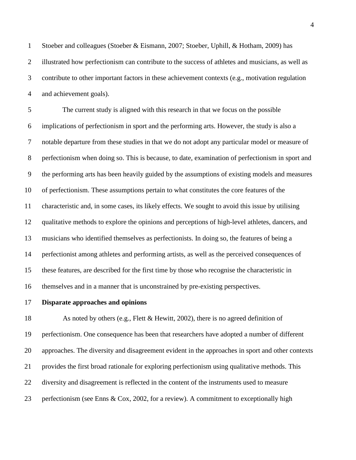Stoeber and colleagues (Stoeber & Eismann, 2007; Stoeber, Uphill, & Hotham, 2009) has illustrated how perfectionism can contribute to the success of athletes and musicians, as well as contribute to other important factors in these achievement contexts (e.g., motivation regulation and achievement goals).

 The current study is aligned with this research in that we focus on the possible implications of perfectionism in sport and the performing arts. However, the study is also a notable departure from these studies in that we do not adopt any particular model or measure of perfectionism when doing so. This is because, to date, examination of perfectionism in sport and the performing arts has been heavily guided by the assumptions of existing models and measures of perfectionism. These assumptions pertain to what constitutes the core features of the characteristic and, in some cases, its likely effects. We sought to avoid this issue by utilising qualitative methods to explore the opinions and perceptions of high-level athletes, dancers, and musicians who identified themselves as perfectionists. In doing so, the features of being a perfectionist among athletes and performing artists, as well as the perceived consequences of these features, are described for the first time by those who recognise the characteristic in themselves and in a manner that is unconstrained by pre-existing perspectives.

## **Disparate approaches and opinions**

 As noted by others (e.g., Flett & Hewitt, 2002), there is no agreed definition of perfectionism. One consequence has been that researchers have adopted a number of different approaches. The diversity and disagreement evident in the approaches in sport and other contexts provides the first broad rationale for exploring perfectionism using qualitative methods. This diversity and disagreement is reflected in the content of the instruments used to measure perfectionism (see Enns & Cox, 2002, for a review). A commitment to exceptionally high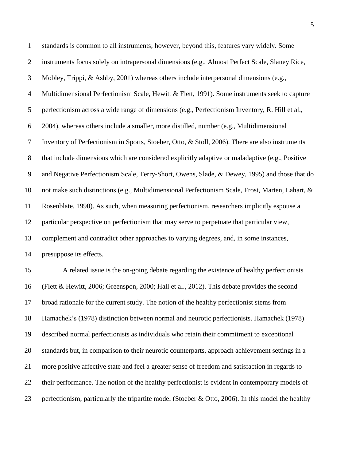standards is common to all instruments; however, beyond this, features vary widely. Some instruments focus solely on intrapersonal dimensions (e.g., Almost Perfect Scale, Slaney Rice, Mobley, Trippi, & Ashby, 2001) whereas others include interpersonal dimensions (e.g., Multidimensional Perfectionism Scale, Hewitt & Flett, 1991). Some instruments seek to capture perfectionism across a wide range of dimensions (e.g., Perfectionism Inventory, R. Hill et al., 2004), whereas others include a smaller, more distilled, number (e.g., Multidimensional Inventory of Perfectionism in Sports, Stoeber, Otto, & Stoll, 2006). There are also instruments that include dimensions which are considered explicitly adaptive or maladaptive (e.g., Positive and Negative Perfectionism Scale, Terry-Short, Owens, Slade, & Dewey, 1995) and those that do not make such distinctions (e.g., Multidimensional Perfectionism Scale, Frost, Marten, Lahart, & Rosenblate, 1990). As such, when measuring perfectionism, researchers implicitly espouse a particular perspective on perfectionism that may serve to perpetuate that particular view, complement and contradict other approaches to varying degrees, and, in some instances, presuppose its effects. A related issue is the on-going debate regarding the existence of healthy perfectionists (Flett & Hewitt, 2006; Greenspon, 2000; Hall et al., 2012). This debate provides the second broad rationale for the current study. The notion of the healthy perfectionist stems from Hamachek's (1978) distinction between normal and neurotic perfectionists. Hamachek (1978) described normal perfectionists as individuals who retain their commitment to exceptional standards but, in comparison to their neurotic counterparts, approach achievement settings in a more positive affective state and feel a greater sense of freedom and satisfaction in regards to their performance. The notion of the healthy perfectionist is evident in contemporary models of perfectionism, particularly the tripartite model (Stoeber & Otto, 2006). In this model the healthy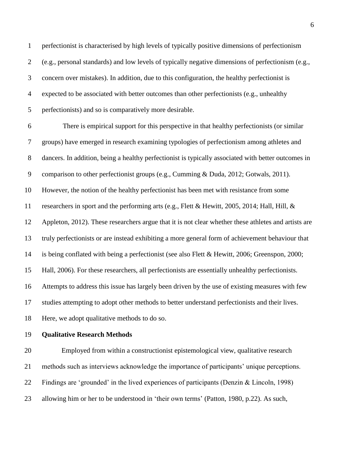perfectionist is characterised by high levels of typically positive dimensions of perfectionism (e.g., personal standards) and low levels of typically negative dimensions of perfectionism (e.g., concern over mistakes). In addition, due to this configuration, the healthy perfectionist is expected to be associated with better outcomes than other perfectionists (e.g., unhealthy perfectionists) and so is comparatively more desirable.

 There is empirical support for this perspective in that healthy perfectionists (or similar groups) have emerged in research examining typologies of perfectionism among athletes and dancers. In addition, being a healthy perfectionist is typically associated with better outcomes in comparison to other perfectionist groups (e.g., Cumming & Duda, 2012; Gotwals, 2011). However, the notion of the healthy perfectionist has been met with resistance from some researchers in sport and the performing arts (e.g., Flett & Hewitt, 2005, 2014; Hall, Hill, & Appleton, 2012). These researchers argue that it is not clear whether these athletes and artists are truly perfectionists or are instead exhibiting a more general form of achievement behaviour that is being conflated with being a perfectionist (see also Flett & Hewitt, 2006; Greenspon, 2000; Hall, 2006). For these researchers, all perfectionists are essentially unhealthy perfectionists. Attempts to address this issue has largely been driven by the use of existing measures with few studies attempting to adopt other methods to better understand perfectionists and their lives. Here, we adopt qualitative methods to do so.

#### **Qualitative Research Methods**

 Employed from within a constructionist epistemological view, qualitative research methods such as interviews acknowledge the importance of participants' unique perceptions. Findings are 'grounded' in the lived experiences of participants (Denzin & Lincoln, 1998) allowing him or her to be understood in 'their own terms' (Patton, 1980, p.22). As such,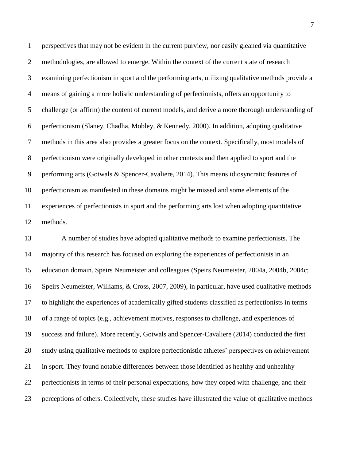perspectives that may not be evident in the current purview, nor easily gleaned via quantitative methodologies, are allowed to emerge. Within the context of the current state of research examining perfectionism in sport and the performing arts, utilizing qualitative methods provide a means of gaining a more holistic understanding of perfectionists, offers an opportunity to challenge (or affirm) the content of current models, and derive a more thorough understanding of perfectionism (Slaney, Chadha, Mobley, & Kennedy, 2000). In addition, adopting qualitative methods in this area also provides a greater focus on the context. Specifically, most models of perfectionism were originally developed in other contexts and then applied to sport and the performing arts (Gotwals & Spencer-Cavaliere, 2014). This means idiosyncratic features of perfectionism as manifested in these domains might be missed and some elements of the experiences of perfectionists in sport and the performing arts lost when adopting quantitative methods.

 A number of studies have adopted qualitative methods to examine perfectionists. The majority of this research has focused on exploring the experiences of perfectionists in an education domain. Speirs Neumeister and colleagues (Speirs Neumeister, 2004a, 2004b, 2004c; Speirs Neumeister, Williams, & Cross, 2007, 2009), in particular, have used qualitative methods to highlight the experiences of academically gifted students classified as perfectionists in terms of a range of topics (e.g., achievement motives, responses to challenge, and experiences of success and failure). More recently, Gotwals and Spencer-Cavaliere (2014) conducted the first study using qualitative methods to explore perfectionistic athletes' perspectives on achievement in sport. They found notable differences between those identified as healthy and unhealthy perfectionists in terms of their personal expectations, how they coped with challenge, and their perceptions of others. Collectively, these studies have illustrated the value of qualitative methods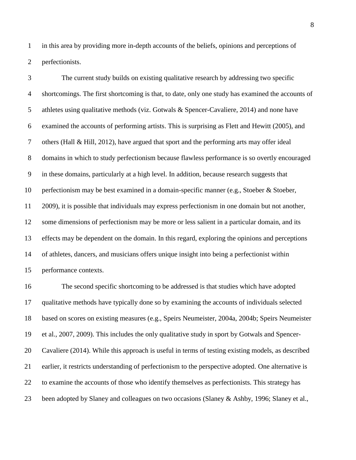in this area by providing more in-depth accounts of the beliefs, opinions and perceptions of perfectionists.

 The current study builds on existing qualitative research by addressing two specific shortcomings. The first shortcoming is that, to date, only one study has examined the accounts of athletes using qualitative methods (viz. Gotwals & Spencer-Cavaliere, 2014) and none have examined the accounts of performing artists. This is surprising as Flett and Hewitt (2005), and others (Hall & Hill, 2012), have argued that sport and the performing arts may offer ideal domains in which to study perfectionism because flawless performance is so overtly encouraged in these domains, particularly at a high level. In addition, because research suggests that perfectionism may be best examined in a domain-specific manner (e.g., Stoeber & Stoeber, 2009), it is possible that individuals may express perfectionism in one domain but not another, some dimensions of perfectionism may be more or less salient in a particular domain, and its effects may be dependent on the domain. In this regard, exploring the opinions and perceptions of athletes, dancers, and musicians offers unique insight into being a perfectionist within performance contexts.

 The second specific shortcoming to be addressed is that studies which have adopted qualitative methods have typically done so by examining the accounts of individuals selected based on scores on existing measures (e.g., Speirs Neumeister, 2004a, 2004b; Speirs Neumeister et al., 2007, 2009). This includes the only qualitative study in sport by Gotwals and Spencer- Cavaliere (2014). While this approach is useful in terms of testing existing models, as described earlier, it restricts understanding of perfectionism to the perspective adopted. One alternative is to examine the accounts of those who identify themselves as perfectionists. This strategy has been adopted by Slaney and colleagues on two occasions (Slaney & Ashby, 1996; Slaney et al.,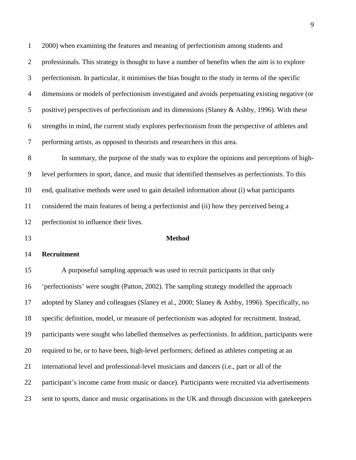2000) when examining the features and meaning of perfectionism among students and professionals. This strategy is thought to have a number of benefits when the aim is to explore perfectionism. In particular, it minimises the bias bought to the study in terms of the specific dimensions or models of perfectionism investigated and avoids perpetuating existing negative (or positive) perspectives of perfectionism and its dimensions (Slaney & Ashby, 1996). With these strengths in mind, the current study explores perfectionism from the perspective of athletes and performing artists, as opposed to theorists and researchers in this area.

 In summary, the purpose of the study was to explore the opinions and perceptions of high- level performers in sport, dance, and music that identified themselves as perfectionists. To this end, qualitative methods were used to gain detailed information about (i) what participants considered the main features of being a perfectionist and (ii) how they perceived being a perfectionist to influence their lives.

**Method**

#### **Recruitment**

 A purposeful sampling approach was used to recruit participants in that only 'perfectionists' were sought (Patton, 2002). The sampling strategy modelled the approach adopted by Slaney and colleagues (Slaney et al., 2000; Slaney & Ashby, 1996). Specifically, no specific definition, model, or measure of perfectionism was adopted for recruitment. Instead, participants were sought who labelled themselves as perfectionists. In addition, participants were required to be, or to have been, high-level performers; defined as athletes competing at an international level and professional-level musicians and dancers (i.e., part or all of the participant's income came from music or dance). Participants were recruited via advertisements sent to sports, dance and music organisations in the UK and through discussion with gatekeepers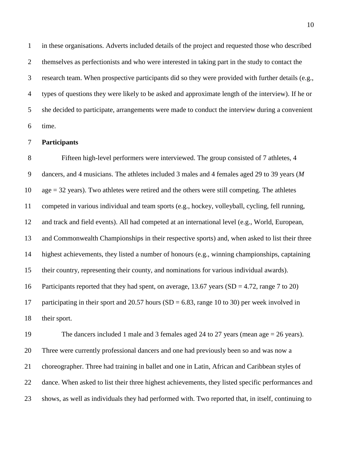in these organisations. Adverts included details of the project and requested those who described themselves as perfectionists and who were interested in taking part in the study to contact the research team. When prospective participants did so they were provided with further details (e.g., types of questions they were likely to be asked and approximate length of the interview). If he or she decided to participate, arrangements were made to conduct the interview during a convenient time.

#### **Participants**

 Fifteen high-level performers were interviewed. The group consisted of 7 athletes, 4 dancers, and 4 musicians. The athletes included 3 males and 4 females aged 29 to 39 years (*M* age = 32 years). Two athletes were retired and the others were still competing. The athletes competed in various individual and team sports (e.g., hockey, volleyball, cycling, fell running, and track and field events). All had competed at an international level (e.g., World, European, and Commonwealth Championships in their respective sports) and, when asked to list their three highest achievements, they listed a number of honours (e.g., winning championships, captaining their country, representing their county, and nominations for various individual awards). Participants reported that they had spent, on average, 13.67 years (SD = 4.72, range 7 to 20) 17 participating in their sport and 20.57 hours (SD = 6.83, range 10 to 30) per week involved in their sport.

19 The dancers included 1 male and 3 females aged 24 to 27 years (mean age = 26 years). Three were currently professional dancers and one had previously been so and was now a choreographer. Three had training in ballet and one in Latin, African and Caribbean styles of dance. When asked to list their three highest achievements, they listed specific performances and shows, as well as individuals they had performed with. Two reported that, in itself, continuing to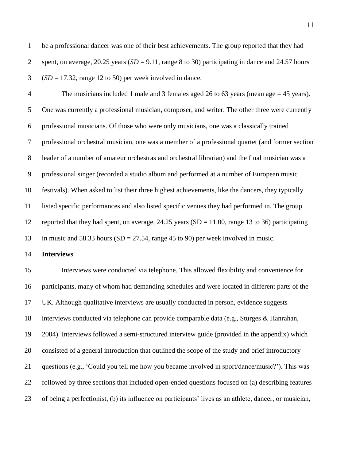be a professional dancer was one of their best achievements. The group reported that they had 2 spent, on average,  $20.25$  years  $(SD = 9.11$ , range 8 to 30) participating in dance and 24.57 hours (*SD* = 17.32, range 12 to 50) per week involved in dance.

 The musicians included 1 male and 3 females aged 26 to 63 years (mean age = 45 years). One was currently a professional musician, composer, and writer. The other three were currently professional musicians. Of those who were only musicians, one was a classically trained professional orchestral musician, one was a member of a professional quartet (and former section leader of a number of amateur orchestras and orchestral librarian) and the final musician was a professional singer (recorded a studio album and performed at a number of European music festivals). When asked to list their three highest achievements, like the dancers, they typically listed specific performances and also listed specific venues they had performed in. The group reported that they had spent, on average, 24.25 years (SD = 11.00, range 13 to 36) participating 13 in music and 58.33 hours  $(SD = 27.54$ , range 45 to 90) per week involved in music.

**Interviews**

 Interviews were conducted via telephone. This allowed flexibility and convenience for participants, many of whom had demanding schedules and were located in different parts of the UK. Although qualitative interviews are usually conducted in person, evidence suggests interviews conducted via telephone can provide comparable data (e.g., Sturges & Hanrahan, 2004). Interviews followed a semi-structured interview guide (provided in the appendix) which consisted of a general introduction that outlined the scope of the study and brief introductory questions (e.g., 'Could you tell me how you became involved in sport/dance/music?'). This was followed by three sections that included open-ended questions focused on (a) describing features of being a perfectionist, (b) its influence on participants' lives as an athlete, dancer, or musician,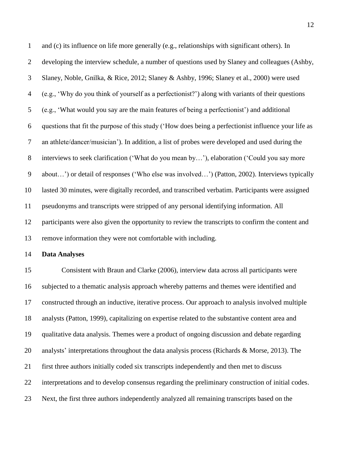and (c) its influence on life more generally (e.g., relationships with significant others). In developing the interview schedule, a number of questions used by Slaney and colleagues (Ashby, Slaney, Noble, Gnilka, & Rice, 2012; Slaney & Ashby, 1996; Slaney et al., 2000) were used (e.g., 'Why do you think of yourself as a perfectionist?') along with variants of their questions (e.g., 'What would you say are the main features of being a perfectionist') and additional questions that fit the purpose of this study ('How does being a perfectionist influence your life as an athlete/dancer/musician'). In addition, a list of probes were developed and used during the interviews to seek clarification ('What do you mean by…'), elaboration ('Could you say more 9 about...<sup>'</sup>) or detail of responses ('Who else was involved...') (Patton, 2002). Interviews typically lasted 30 minutes, were digitally recorded, and transcribed verbatim. Participants were assigned pseudonyms and transcripts were stripped of any personal identifying information. All participants were also given the opportunity to review the transcripts to confirm the content and remove information they were not comfortable with including.

## **Data Analyses**

 Consistent with Braun and Clarke (2006), interview data across all participants were subjected to a thematic analysis approach whereby patterns and themes were identified and constructed through an inductive, iterative process. Our approach to analysis involved multiple analysts (Patton, 1999), capitalizing on expertise related to the substantive content area and qualitative data analysis. Themes were a product of ongoing discussion and debate regarding analysts' interpretations throughout the data analysis process (Richards & Morse, 2013). The first three authors initially coded six transcripts independently and then met to discuss interpretations and to develop consensus regarding the preliminary construction of initial codes. Next, the first three authors independently analyzed all remaining transcripts based on the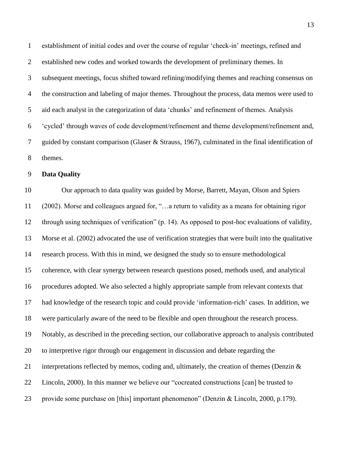establishment of initial codes and over the course of regular 'check-in' meetings, refined and established new codes and worked towards the development of preliminary themes. In subsequent meetings, focus shifted toward refining/modifying themes and reaching consensus on the construction and labeling of major themes. Throughout the process, data memos were used to aid each analyst in the categorization of data 'chunks' and refinement of themes. Analysis 'cycled' through waves of code development/refinement and theme development/refinement and, guided by constant comparison (Glaser & Strauss, 1967), culminated in the final identification of themes.

# **Data Quality**

 Our approach to data quality was guided by Morse, Barrett, Mayan, Olson and Spiers (2002). Morse and colleagues argued for, "…a return to validity as a means for obtaining rigor through using techniques of verification" (p. 14). As opposed to post-hoc evaluations of validity, Morse et al. (2002) advocated the use of verification strategies that were built into the qualitative research process. With this in mind, we designed the study so to ensure methodological coherence, with clear synergy between research questions posed, methods used, and analytical procedures adopted. We also selected a highly appropriate sample from relevant contexts that had knowledge of the research topic and could provide 'information-rich' cases. In addition, we were particularly aware of the need to be flexible and open throughout the research process. Notably, as described in the preceding section, our collaborative approach to analysis contributed to interpretive rigor through our engagement in discussion and debate regarding the 21 interpretations reflected by memos, coding and, ultimately, the creation of themes (Denzin  $\&$  Lincoln, 2000). In this manner we believe our "cocreated constructions [can] be trusted to provide some purchase on [this] important phenomenon" (Denzin & Lincoln, 2000, p.179).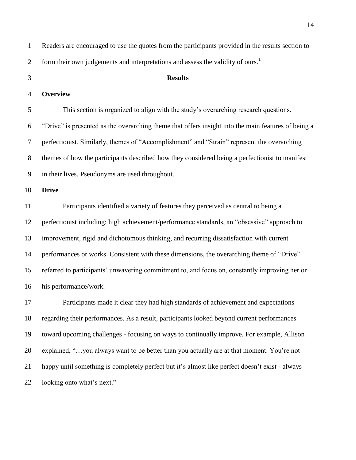| $\mathbf{1}$   | Readers are encouraged to use the quotes from the participants provided in the results section to   |
|----------------|-----------------------------------------------------------------------------------------------------|
| $\overline{2}$ | form their own judgements and interpretations and assess the validity of ours. <sup>1</sup>         |
| 3              | <b>Results</b>                                                                                      |
| $\overline{4}$ | <b>Overview</b>                                                                                     |
| 5              | This section is organized to align with the study's overarching research questions.                 |
| 6              | "Drive" is presented as the overarching theme that offers insight into the main features of being a |
| 7              | perfectionist. Similarly, themes of "Accomplishment" and "Strain" represent the overarching         |
| $8\,$          | themes of how the participants described how they considered being a perfectionist to manifest      |
| 9              | in their lives. Pseudonyms are used throughout.                                                     |
| 10             | <b>Drive</b>                                                                                        |
| 11             | Participants identified a variety of features they perceived as central to being a                  |
| 12             | perfectionist including: high achievement/performance standards, an "obsessive" approach to         |
| 13             | improvement, rigid and dichotomous thinking, and recurring dissatisfaction with current             |
| 14             | performances or works. Consistent with these dimensions, the overarching theme of "Drive"           |
| 15             | referred to participants' unwavering commitment to, and focus on, constantly improving her or       |
| 16             | his performance/work.                                                                               |
| 17             | Participants made it clear they had high standards of achievement and expectations                  |
| 18             | regarding their performances. As a result, participants looked beyond current performances          |
| 19             | toward upcoming challenges - focusing on ways to continually improve. For example, Allison          |
| 20             | explained, "you always want to be better than you actually are at that moment. You're not           |
| 21             | happy until something is completely perfect but it's almost like perfect doesn't exist - always     |
| 22             | looking onto what's next."                                                                          |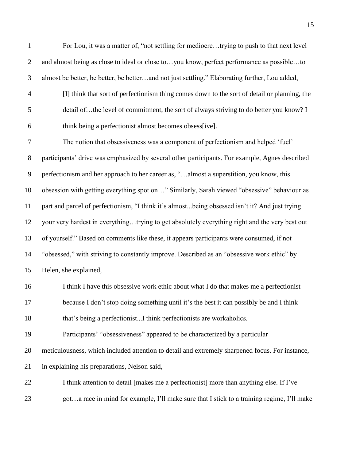For Lou, it was a matter of, "not settling for mediocre…trying to push to that next level and almost being as close to ideal or close to…you know, perfect performance as possible…to almost be better, be better, be better…and not just settling." Elaborating further, Lou added, [I] think that sort of perfectionism thing comes down to the sort of detail or planning, the 5 detail of…the level of commitment, the sort of always striving to do better you know? I think being a perfectionist almost becomes obsess[ive]. The notion that obsessiveness was a component of perfectionism and helped 'fuel'

 participants' drive was emphasized by several other participants. For example, Agnes described perfectionism and her approach to her career as, "…almost a superstition, you know, this obsession with getting everything spot on…" Similarly, Sarah viewed "obsessive" behaviour as part and parcel of perfectionism, "I think it's almost...being obsessed isn't it? And just trying your very hardest in everything…trying to get absolutely everything right and the very best out of yourself." Based on comments like these, it appears participants were consumed, if not "obsessed," with striving to constantly improve. Described as an "obsessive work ethic" by Helen, she explained,

 I think I have this obsessive work ethic about what I do that makes me a perfectionist 17 because I don't stop doing something until it's the best it can possibly be and I think that's being a perfectionist...I think perfectionists are workaholics.

Participants' "obsessiveness" appeared to be characterized by a particular

meticulousness, which included attention to detail and extremely sharpened focus. For instance,

in explaining his preparations, Nelson said,

 I think attention to detail [makes me a perfectionist] more than anything else. If I've got…a race in mind for example, I'll make sure that I stick to a training regime, I'll make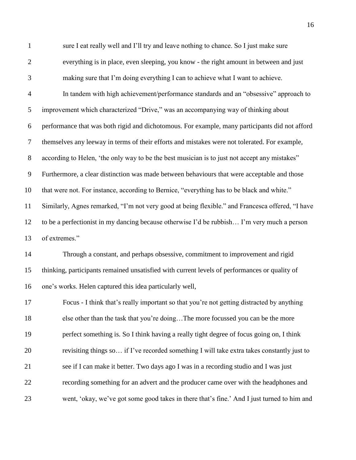sure I eat really well and I'll try and leave nothing to chance. So I just make sure everything is in place, even sleeping, you know - the right amount in between and just making sure that I'm doing everything I can to achieve what I want to achieve. In tandem with high achievement/performance standards and an "obsessive" approach to improvement which characterized "Drive," was an accompanying way of thinking about performance that was both rigid and dichotomous. For example, many participants did not afford themselves any leeway in terms of their efforts and mistakes were not tolerated. For example, according to Helen, 'the only way to be the best musician is to just not accept any mistakes" Furthermore, a clear distinction was made between behaviours that were acceptable and those that were not. For instance, according to Bernice, "everything has to be black and white." Similarly, Agnes remarked, "I'm not very good at being flexible." and Francesca offered, "I have to be a perfectionist in my dancing because otherwise I'd be rubbish… I'm very much a person of extremes." Through a constant, and perhaps obsessive, commitment to improvement and rigid thinking, participants remained unsatisfied with current levels of performances or quality of one's works. Helen captured this idea particularly well, Focus - I think that's really important so that you're not getting distracted by anything 18 else other than the task that you're doing...The more focussed you can be the more perfect something is. So I think having a really tight degree of focus going on, I think revisiting things so… if I've recorded something I will take extra takes constantly just to see if I can make it better. Two days ago I was in a recording studio and I was just

went, 'okay, we've got some good takes in there that's fine.' And I just turned to him and

recording something for an advert and the producer came over with the headphones and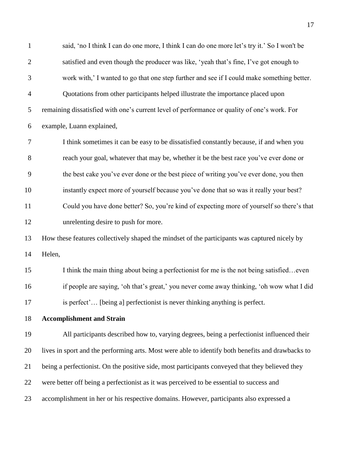| $\mathbf{1}$   | said, 'no I think I can do one more, I think I can do one more let's try it.' So I won't be       |
|----------------|---------------------------------------------------------------------------------------------------|
| $\mathbf{2}$   | satisfied and even though the producer was like, 'yeah that's fine, I've got enough to            |
| 3              | work with,' I wanted to go that one step further and see if I could make something better.        |
| $\overline{4}$ | Quotations from other participants helped illustrate the importance placed upon                   |
| 5              | remaining dissatisfied with one's current level of performance or quality of one's work. For      |
| 6              | example, Luann explained,                                                                         |
| $\tau$         | I think sometimes it can be easy to be dissatisfied constantly because, if and when you           |
| $8\,$          | reach your goal, whatever that may be, whether it be the best race you've ever done or            |
| 9              | the best cake you've ever done or the best piece of writing you've ever done, you then            |
| 10             | instantly expect more of yourself because you've done that so was it really your best?            |
| 11             | Could you have done better? So, you're kind of expecting more of yourself so there's that         |
| 12             | unrelenting desire to push for more.                                                              |
| 13             | How these features collectively shaped the mindset of the participants was captured nicely by     |
| 14             | Helen,                                                                                            |
| 15             | I think the main thing about being a perfectionist for me is the not being satisfiedeven          |
| 16             | if people are saying, 'oh that's great,' you never come away thinking, 'oh wow what I did         |
| 17             | is perfect' [being a] perfectionist is never thinking anything is perfect.                        |
| 18             | <b>Accomplishment and Strain</b>                                                                  |
| 19             | All participants described how to, varying degrees, being a perfectionist influenced their        |
| 20             | lives in sport and the performing arts. Most were able to identify both benefits and drawbacks to |
| 21             | being a perfectionist. On the positive side, most participants conveyed that they believed they   |
| 22             | were better off being a perfectionist as it was perceived to be essential to success and          |
| 23             | accomplishment in her or his respective domains. However, participants also expressed a           |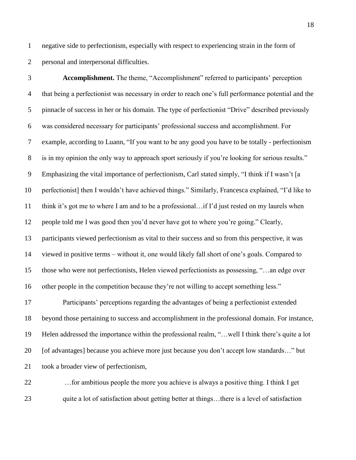negative side to perfectionism, especially with respect to experiencing strain in the form of personal and interpersonal difficulties.

 **Accomplishment.** The theme, "Accomplishment" referred to participants' perception that being a perfectionist was necessary in order to reach one's full performance potential and the pinnacle of success in her or his domain. The type of perfectionist "Drive" described previously was considered necessary for participants' professional success and accomplishment. For example, according to Luann, "If you want to be any good you have to be totally - perfectionism is in my opinion the only way to approach sport seriously if you're looking for serious results." Emphasizing the vital importance of perfectionism, Carl stated simply, "I think if I wasn't [a perfectionist] then I wouldn't have achieved things." Similarly, Francesca explained, "I'd like to think it's got me to where I am and to be a professional…if I'd just rested on my laurels when people told me I was good then you'd never have got to where you're going." Clearly, participants viewed perfectionism as vital to their success and so from this perspective, it was viewed in positive terms – without it, one would likely fall short of one's goals. Compared to those who were not perfectionists, Helen viewed perfectionists as possessing, "…an edge over 16 other people in the competition because they're not willing to accept something less."

 Participants' perceptions regarding the advantages of being a perfectionist extended beyond those pertaining to success and accomplishment in the professional domain. For instance, Helen addressed the importance within the professional realm, "…well I think there's quite a lot [of advantages] because you achieve more just because you don't accept low standards…" but took a broader view of perfectionism,

 …for ambitious people the more you achieve is always a positive thing. I think I get 23 quite a lot of satisfaction about getting better at things...there is a level of satisfaction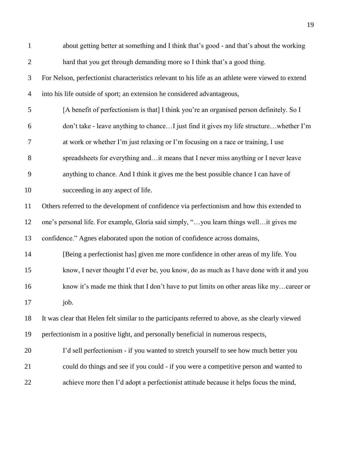| $\mathbf{1}$   | about getting better at something and I think that's good - and that's about the working           |
|----------------|----------------------------------------------------------------------------------------------------|
| $\overline{2}$ | hard that you get through demanding more so I think that's a good thing.                           |
| 3              | For Nelson, perfectionist characteristics relevant to his life as an athlete were viewed to extend |
| $\overline{4}$ | into his life outside of sport; an extension he considered advantageous,                           |
| 5              | [A benefit of perfectionism is that] I think you're an organised person definitely. So I           |
| 6              | don't take - leave anything to chanceI just find it gives my life structurewhether I'm             |
| 7              | at work or whether I'm just relaxing or I'm focusing on a race or training, I use                  |
| $8\,$          | spreadsheets for everything andit means that I never miss anything or I never leave                |
| 9              | anything to chance. And I think it gives me the best possible chance I can have of                 |
| 10             | succeeding in any aspect of life.                                                                  |
| 11             | Others referred to the development of confidence via perfectionism and how this extended to        |
| 12             | one's personal life. For example, Gloria said simply, "you learn things wellit gives me            |
| 13             | confidence." Agnes elaborated upon the notion of confidence across domains,                        |
| 14             | [Being a perfectionist has] given me more confidence in other areas of my life. You                |
| 15             | know, I never thought I'd ever be, you know, do as much as I have done with it and you             |
| 16             | know it's made me think that I don't have to put limits on other areas like mycareer or            |
| 17             | job.                                                                                               |
| 18             | It was clear that Helen felt similar to the participants referred to above, as she clearly viewed  |
| 19             | perfectionism in a positive light, and personally beneficial in numerous respects,                 |
| 20             | I'd sell perfectionism - if you wanted to stretch yourself to see how much better you              |
| 21             | could do things and see if you could - if you were a competitive person and wanted to              |
| 22             | achieve more then I'd adopt a perfectionist attitude because it helps focus the mind,              |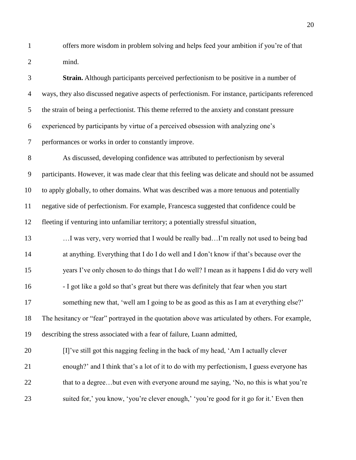offers more wisdom in problem solving and helps feed your ambition if you're of that mind.

 **Strain.** Although participants perceived perfectionism to be positive in a number of ways, they also discussed negative aspects of perfectionism. For instance, participants referenced the strain of being a perfectionist. This theme referred to the anxiety and constant pressure experienced by participants by virtue of a perceived obsession with analyzing one's performances or works in order to constantly improve. As discussed, developing confidence was attributed to perfectionism by several participants. However, it was made clear that this feeling was delicate and should not be assumed to apply globally, to other domains. What was described was a more tenuous and potentially negative side of perfectionism. For example, Francesca suggested that confidence could be fleeting if venturing into unfamiliar territory; a potentially stressful situation, …I was very, very worried that I would be really bad…I'm really not used to being bad at anything. Everything that I do I do well and I don't know if that's because over the years I've only chosen to do things that I do well? I mean as it happens I did do very well - I got like a gold so that's great but there was definitely that fear when you start something new that, 'well am I going to be as good as this as I am at everything else?' The hesitancy or "fear" portrayed in the quotation above was articulated by others. For example, describing the stress associated with a fear of failure, Luann admitted, [I]'ve still got this nagging feeling in the back of my head, 'Am I actually clever enough?' and I think that's a lot of it to do with my perfectionism, I guess everyone has 22 that to a degree...but even with everyone around me saying, 'No, no this is what you're suited for,' you know, 'you're clever enough,' 'you're good for it go for it.' Even then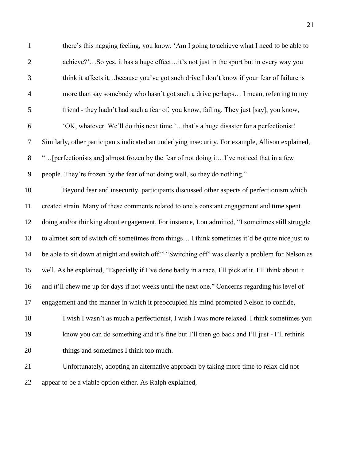| $\mathbf{1}$   | there's this nagging feeling, you know, 'Am I going to achieve what I need to be able to              |
|----------------|-------------------------------------------------------------------------------------------------------|
| $\mathbf{2}$   | achieve?'So yes, it has a huge effectit's not just in the sport but in every way you                  |
| 3              | think it affects itbecause you've got such drive I don't know if your fear of failure is              |
| $\overline{4}$ | more than say somebody who hasn't got such a drive perhaps I mean, referring to my                    |
| 5              | friend - they hadn't had such a fear of, you know, failing. They just [say], you know,                |
| 6              | 'OK, whatever. We'll do this next time.'that's a huge disaster for a perfectionist!                   |
| $\tau$         | Similarly, other participants indicated an underlying insecurity. For example, Allison explained,     |
| $8\,$          | " [perfectionists are] almost frozen by the fear of not doing it I've noticed that in a few           |
| 9              | people. They're frozen by the fear of not doing well, so they do nothing."                            |
| 10             | Beyond fear and insecurity, participants discussed other aspects of perfectionism which               |
| 11             | created strain. Many of these comments related to one's constant engagement and time spent            |
| 12             | doing and/or thinking about engagement. For instance, Lou admitted, "I sometimes still struggle       |
| 13             | to almost sort of switch off sometimes from things I think sometimes it'd be quite nice just to       |
| 14             | be able to sit down at night and switch off!" "Switching off" was clearly a problem for Nelson as     |
| 15             | well. As he explained, "Especially if I've done badly in a race, I'll pick at it. I'll think about it |
| 16             | and it'll chew me up for days if not weeks until the next one." Concerns regarding his level of       |
| 17             | engagement and the manner in which it preoccupied his mind prompted Nelson to confide,                |
| 18             | I wish I wasn't as much a perfectionist, I wish I was more relaxed. I think sometimes you             |
| 19             | know you can do something and it's fine but I'll then go back and I'll just - I'll rethink            |
| 20             | things and sometimes I think too much.                                                                |
| 21             | Unfortunately, adopting an alternative approach by taking more time to relax did not                  |
| 22             | appear to be a viable option either. As Ralph explained,                                              |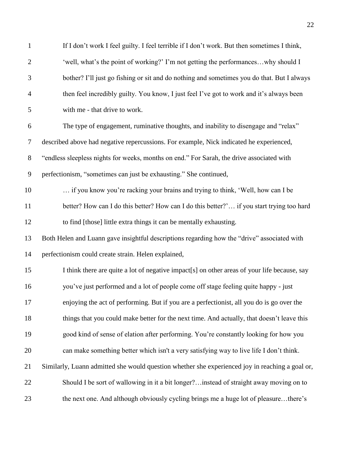| $\mathbf{1}$   | If I don't work I feel guilty. I feel terrible if I don't work. But then sometimes I think,     |
|----------------|-------------------------------------------------------------------------------------------------|
| $\overline{2}$ | 'well, what's the point of working?' I'm not getting the performanceswhy should I               |
| 3              | bother? I'll just go fishing or sit and do nothing and sometimes you do that. But I always      |
| 4              | then feel incredibly guilty. You know, I just feel I've got to work and it's always been        |
| 5              | with me - that drive to work.                                                                   |
| 6              | The type of engagement, ruminative thoughts, and inability to disengage and "relax"             |
| 7              | described above had negative repercussions. For example, Nick indicated he experienced,         |
| $8\,$          | "endless sleepless nights for weeks, months on end." For Sarah, the drive associated with       |
| 9              | perfectionism, "sometimes can just be exhausting." She continued,                               |
| 10             | if you know you're racking your brains and trying to think, 'Well, how can I be                 |
| 11             | better? How can I do this better? How can I do this better?' if you start trying too hard       |
| 12             | to find [those] little extra things it can be mentally exhausting.                              |
| 13             | Both Helen and Luann gave insightful descriptions regarding how the "drive" associated with     |
| 14             | perfectionism could create strain. Helen explained,                                             |
| 15             | I think there are quite a lot of negative impact[s] on other areas of your life because, say    |
| 16             | you've just performed and a lot of people come off stage feeling quite happy - just             |
| 17             | enjoying the act of performing. But if you are a perfectionist, all you do is go over the       |
| 18             | things that you could make better for the next time. And actually, that doesn't leave this      |
| 19             | good kind of sense of elation after performing. You're constantly looking for how you           |
| 20             | can make something better which isn't a very satisfying way to live life I don't think.         |
| 21             | Similarly, Luann admitted she would question whether she experienced joy in reaching a goal or, |
| 22             | Should I be sort of wallowing in it a bit longer?instead of straight away moving on to          |
| 23             | the next one. And although obviously cycling brings me a huge lot of pleasurethere's            |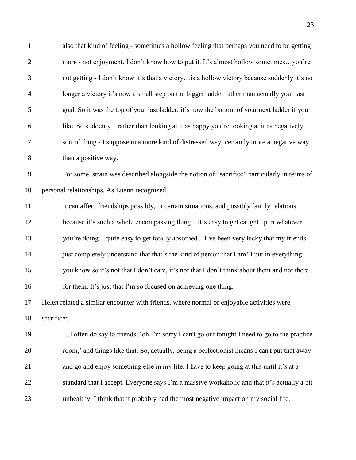| $\mathbf{1}$   | also that kind of feeling - sometimes a hollow feeling that perhaps you need to be getting   |
|----------------|----------------------------------------------------------------------------------------------|
| $\mathbf{2}$   | more - not enjoyment. I don't know how to put it. It's almost hollow sometimesyou're         |
| 3              | not getting - I don't know it's that a victoryis a hollow victory because suddenly it's no   |
| $\overline{4}$ | longer a victory it's now a small step on the bigger ladder rather than actually your last   |
| 5              | goal. So it was the top of your last ladder, it's now the bottom of your next ladder if you  |
| 6              | like. So suddenlyrather than looking at it as happy you're looking at it as negatively       |
| $\tau$         | sort of thing - I suppose in a more kind of distressed way; certainly more a negative way    |
| 8              | than a positive way.                                                                         |
| 9              | For some, strain was described alongside the notion of "sacrifice" particularly in terms of  |
| 10             | personal relationships. As Luann recognized,                                                 |
| 11             | It can affect friendships possibly, in certain situations, and possibly family relations     |
| 12             | because it's such a whole encompassing thingit's easy to get caught up in whatever           |
| 13             | you're doingquite easy to get totally absorbedI've been very lucky that my friends           |
| 14             | just completely understand that that's the kind of person that I am! I put in everything     |
| 15             | you know so it's not that I don't care, it's not that I don't think about them and not there |
| 16             | for them. It's just that I'm so focused on achieving one thing.                              |
| 17             | Helen related a similar encounter with friends, where normal or enjoyable activities were    |
| 18             | sacrificed,                                                                                  |
| 19             | I often do say to friends, 'oh I'm sorry I can't go out tonight I need to go to the practice |
| 20             | room,' and things like that. So, actually, being a perfectionist means I can't put that away |
| 21             | and go and enjoy something else in my life. I have to keep going at this until it's at a     |
| 22             | standard that I accept. Everyone says I'm a massive workaholic and that it's actually a bit  |
| 23             | unhealthy. I think that it probably had the most negative impact on my social life.          |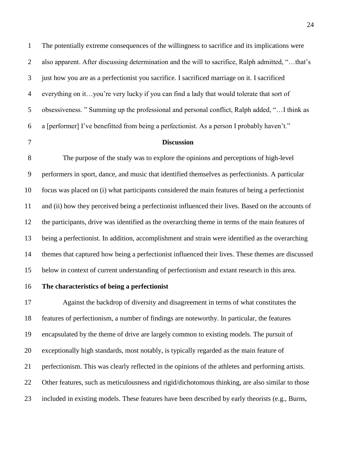The potentially extreme consequences of the willingness to sacrifice and its implications were also apparent. After discussing determination and the will to sacrifice, Ralph admitted, "…that's just how you are as a perfectionist you sacrifice. I sacrificed marriage on it. I sacrificed everything on it…you're very lucky if you can find a lady that would tolerate that sort of obsessiveness. " Summing up the professional and personal conflict, Ralph added, "…I think as a [performer] I've benefitted from being a perfectionist. As a person I probably haven't."

### **Discussion**

 The purpose of the study was to explore the opinions and perceptions of high-level performers in sport, dance, and music that identified themselves as perfectionists. A particular focus was placed on (i) what participants considered the main features of being a perfectionist and (ii) how they perceived being a perfectionist influenced their lives. Based on the accounts of the participants, drive was identified as the overarching theme in terms of the main features of being a perfectionist. In addition, accomplishment and strain were identified as the overarching themes that captured how being a perfectionist influenced their lives. These themes are discussed below in context of current understanding of perfectionism and extant research in this area.

# **The characteristics of being a perfectionist**

 Against the backdrop of diversity and disagreement in terms of what constitutes the features of perfectionism, a number of findings are noteworthy. In particular, the features encapsulated by the theme of drive are largely common to existing models. The pursuit of exceptionally high standards, most notably, is typically regarded as the main feature of perfectionism. This was clearly reflected in the opinions of the athletes and performing artists. Other features, such as meticulousness and rigid/dichotomous thinking, are also similar to those included in existing models. These features have been described by early theorists (e.g., Burns,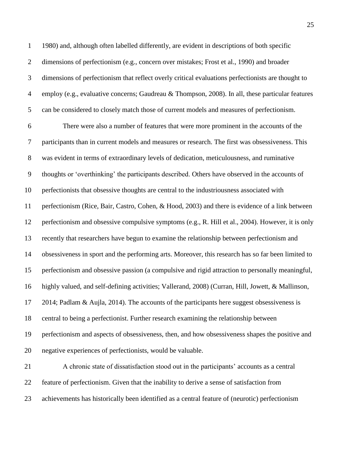1980) and, although often labelled differently, are evident in descriptions of both specific dimensions of perfectionism (e.g., concern over mistakes; Frost et al., 1990) and broader dimensions of perfectionism that reflect overly critical evaluations perfectionists are thought to employ (e.g., evaluative concerns; Gaudreau & Thompson, 2008). In all, these particular features can be considered to closely match those of current models and measures of perfectionism.

 There were also a number of features that were more prominent in the accounts of the participants than in current models and measures or research. The first was obsessiveness. This was evident in terms of extraordinary levels of dedication, meticulousness, and ruminative thoughts or 'overthinking' the participants described. Others have observed in the accounts of perfectionists that obsessive thoughts are central to the industriousness associated with perfectionism (Rice, Bair, Castro, Cohen, & Hood, 2003) and there is evidence of a link between perfectionism and obsessive compulsive symptoms (e.g., R. Hill et al., 2004). However, it is only recently that researchers have begun to examine the relationship between perfectionism and obsessiveness in sport and the performing arts. Moreover, this research has so far been limited to perfectionism and obsessive passion (a compulsive and rigid attraction to personally meaningful, highly valued, and self-defining activities; Vallerand, 2008) (Curran, Hill, Jowett, & Mallinson, 2014; Padlam & Aujla, 2014). The accounts of the participants here suggest obsessiveness is central to being a perfectionist. Further research examining the relationship between perfectionism and aspects of obsessiveness, then, and how obsessiveness shapes the positive and negative experiences of perfectionists, would be valuable.

 A chronic state of dissatisfaction stood out in the participants' accounts as a central feature of perfectionism. Given that the inability to derive a sense of satisfaction from achievements has historically been identified as a central feature of (neurotic) perfectionism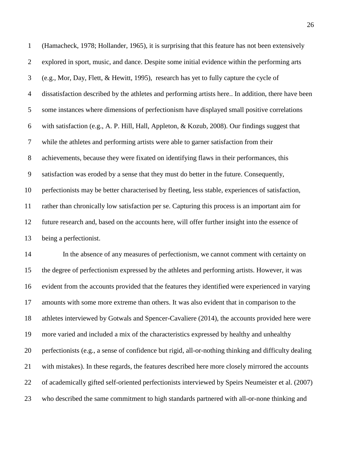(Hamacheck, 1978; Hollander, 1965), it is surprising that this feature has not been extensively explored in sport, music, and dance. Despite some initial evidence within the performing arts (e.g., Mor, Day, Flett, & Hewitt, 1995), research has yet to fully capture the cycle of dissatisfaction described by the athletes and performing artists here.. In addition, there have been some instances where dimensions of perfectionism have displayed small positive correlations with satisfaction (e.g., A. P. Hill, Hall, Appleton, & Kozub, 2008). Our findings suggest that while the athletes and performing artists were able to garner satisfaction from their achievements, because they were fixated on identifying flaws in their performances, this satisfaction was eroded by a sense that they must do better in the future. Consequently, perfectionists may be better characterised by fleeting, less stable, experiences of satisfaction, rather than chronically low satisfaction per se. Capturing this process is an important aim for future research and, based on the accounts here, will offer further insight into the essence of being a perfectionist.

 In the absence of any measures of perfectionism, we cannot comment with certainty on the degree of perfectionism expressed by the athletes and performing artists. However, it was evident from the accounts provided that the features they identified were experienced in varying amounts with some more extreme than others. It was also evident that in comparison to the athletes interviewed by Gotwals and Spencer-Cavaliere (2014), the accounts provided here were more varied and included a mix of the characteristics expressed by healthy and unhealthy perfectionists (e.g., a sense of confidence but rigid, all-or-nothing thinking and difficulty dealing with mistakes). In these regards, the features described here more closely mirrored the accounts of academically gifted self-oriented perfectionists interviewed by Speirs Neumeister et al. (2007) who described the same commitment to high standards partnered with all-or-none thinking and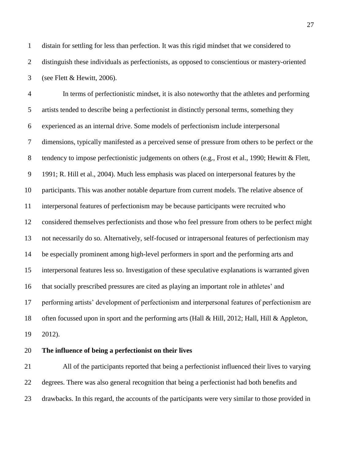distain for settling for less than perfection. It was this rigid mindset that we considered to distinguish these individuals as perfectionists, as opposed to conscientious or mastery-oriented (see Flett & Hewitt, 2006).

 In terms of perfectionistic mindset, it is also noteworthy that the athletes and performing artists tended to describe being a perfectionist in distinctly personal terms, something they experienced as an internal drive. Some models of perfectionism include interpersonal dimensions, typically manifested as a perceived sense of pressure from others to be perfect or the tendency to impose perfectionistic judgements on others (e.g., Frost et al., 1990; Hewitt & Flett, 1991; R. Hill et al., 2004). Much less emphasis was placed on interpersonal features by the participants. This was another notable departure from current models. The relative absence of interpersonal features of perfectionism may be because participants were recruited who considered themselves perfectionists and those who feel pressure from others to be perfect might not necessarily do so. Alternatively, self-focused or intrapersonal features of perfectionism may be especially prominent among high-level performers in sport and the performing arts and interpersonal features less so. Investigation of these speculative explanations is warranted given that socially prescribed pressures are cited as playing an important role in athletes' and performing artists' development of perfectionism and interpersonal features of perfectionism are often focussed upon in sport and the performing arts (Hall & Hill, 2012; Hall, Hill & Appleton, 2012).

- 
- 

# **The influence of being a perfectionist on their lives**

 All of the participants reported that being a perfectionist influenced their lives to varying degrees. There was also general recognition that being a perfectionist had both benefits and drawbacks. In this regard, the accounts of the participants were very similar to those provided in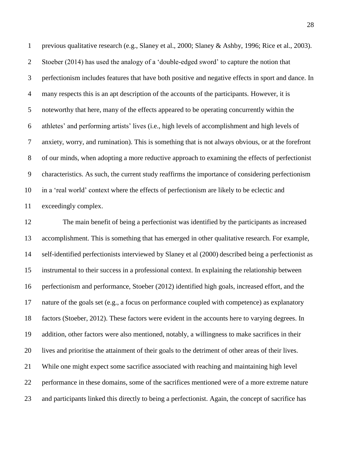previous qualitative research (e.g., Slaney et al., 2000; Slaney & Ashby, 1996; Rice et al., 2003). Stoeber (2014) has used the analogy of a 'double-edged sword' to capture the notion that perfectionism includes features that have both positive and negative effects in sport and dance. In many respects this is an apt description of the accounts of the participants. However, it is noteworthy that here, many of the effects appeared to be operating concurrently within the athletes' and performing artists' lives (i.e., high levels of accomplishment and high levels of anxiety, worry, and rumination). This is something that is not always obvious, or at the forefront of our minds, when adopting a more reductive approach to examining the effects of perfectionist characteristics. As such, the current study reaffirms the importance of considering perfectionism in a 'real world' context where the effects of perfectionism are likely to be eclectic and exceedingly complex.

 The main benefit of being a perfectionist was identified by the participants as increased accomplishment. This is something that has emerged in other qualitative research. For example, self-identified perfectionists interviewed by Slaney et al (2000) described being a perfectionist as instrumental to their success in a professional context. In explaining the relationship between perfectionism and performance, Stoeber (2012) identified high goals, increased effort, and the nature of the goals set (e.g., a focus on performance coupled with competence) as explanatory factors (Stoeber, 2012). These factors were evident in the accounts here to varying degrees. In addition, other factors were also mentioned, notably, a willingness to make sacrifices in their lives and prioritise the attainment of their goals to the detriment of other areas of their lives. While one might expect some sacrifice associated with reaching and maintaining high level performance in these domains, some of the sacrifices mentioned were of a more extreme nature and participants linked this directly to being a perfectionist. Again, the concept of sacrifice has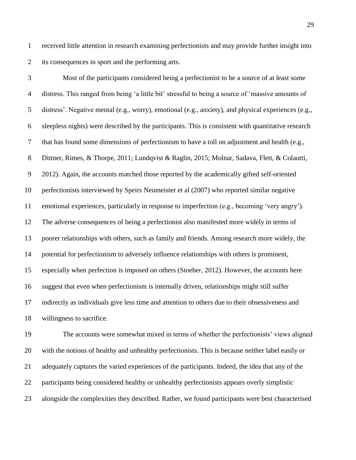received little attention in research examining perfectionists and may provide further insight into its consequences in sport and the performing arts.

 Most of the participants considered being a perfectionist to be a source of at least some distress. This ranged from being 'a little bit' stressful to being a source of 'massive amounts of distress'. Negative mental (e.g., worry), emotional (e.g., anxiety), and physical experiences (e.g., sleepless nights) were described by the participants. This is consistent with quantitative research that has found some dimensions of perfectionism to have a toll on adjustment and health (e.g., Dittner, Rimes, & Thorpe, 2011; Lundqvist & Raglin, 2015; Molnar, Sadava, Flett, & Colautti, 2012). Again, the accounts matched those reported by the academically gifted self-oriented perfectionists interviewed by Speirs Neumeister et al (2007) who reported similar negative emotional experiences, particularly in response to imperfection (e.g., becoming 'very angry'). The adverse consequences of being a perfectionist also manifested more widely in terms of poorer relationships with others, such as family and friends. Among research more widely, the potential for perfectionism to adversely influence relationships with others is prominent, especially when perfection is imposed on others (Stoeber, 2012). However, the accounts here suggest that even when perfectionism is internally driven, relationships might still suffer indirectly as individuals give less time and attention to others due to their obsessiveness and willingness to sacrifice.

 The accounts were somewhat mixed in terms of whether the perfectionists' views aligned with the notions of healthy and unhealthy perfectionists. This is because neither label easily or adequately captures the varied experiences of the participants. Indeed, the idea that any of the 22 participants being considered healthy or unhealthy perfectionists appears overly simplistic alongside the complexities they described. Rather, we found participants were best characterised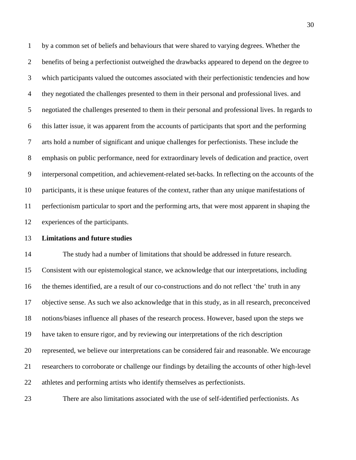by a common set of beliefs and behaviours that were shared to varying degrees. Whether the benefits of being a perfectionist outweighed the drawbacks appeared to depend on the degree to which participants valued the outcomes associated with their perfectionistic tendencies and how they negotiated the challenges presented to them in their personal and professional lives. and negotiated the challenges presented to them in their personal and professional lives. In regards to this latter issue, it was apparent from the accounts of participants that sport and the performing arts hold a number of significant and unique challenges for perfectionists. These include the emphasis on public performance, need for extraordinary levels of dedication and practice, overt interpersonal competition, and achievement-related set-backs. In reflecting on the accounts of the participants, it is these unique features of the context, rather than any unique manifestations of perfectionism particular to sport and the performing arts, that were most apparent in shaping the experiences of the participants.

#### **Limitations and future studies**

 The study had a number of limitations that should be addressed in future research. Consistent with our epistemological stance, we acknowledge that our interpretations, including the themes identified, are a result of our co-constructions and do not reflect 'the' truth in any objective sense. As such we also acknowledge that in this study, as in all research, preconceived notions/biases influence all phases of the research process. However, based upon the steps we have taken to ensure rigor, and by reviewing our interpretations of the rich description represented, we believe our interpretations can be considered fair and reasonable. We encourage researchers to corroborate or challenge our findings by detailing the accounts of other high-level athletes and performing artists who identify themselves as perfectionists.

There are also limitations associated with the use of self-identified perfectionists. As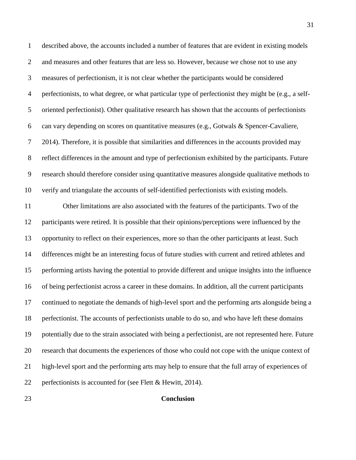described above, the accounts included a number of features that are evident in existing models and measures and other features that are less so. However, because we chose not to use any measures of perfectionism, it is not clear whether the participants would be considered perfectionists, to what degree, or what particular type of perfectionist they might be (e.g., a self- oriented perfectionist). Other qualitative research has shown that the accounts of perfectionists can vary depending on scores on quantitative measures (e.g., Gotwals & Spencer-Cavaliere, 2014). Therefore, it is possible that similarities and differences in the accounts provided may reflect differences in the amount and type of perfectionism exhibited by the participants. Future research should therefore consider using quantitative measures alongside qualitative methods to verify and triangulate the accounts of self-identified perfectionists with existing models.

 Other limitations are also associated with the features of the participants. Two of the participants were retired. It is possible that their opinions/perceptions were influenced by the opportunity to reflect on their experiences, more so than the other participants at least. Such differences might be an interesting focus of future studies with current and retired athletes and performing artists having the potential to provide different and unique insights into the influence of being perfectionist across a career in these domains. In addition, all the current participants continued to negotiate the demands of high-level sport and the performing arts alongside being a perfectionist. The accounts of perfectionists unable to do so, and who have left these domains potentially due to the strain associated with being a perfectionist, are not represented here. Future research that documents the experiences of those who could not cope with the unique context of high-level sport and the performing arts may help to ensure that the full array of experiences of perfectionists is accounted for (see Flett & Hewitt, 2014).

#### **Conclusion**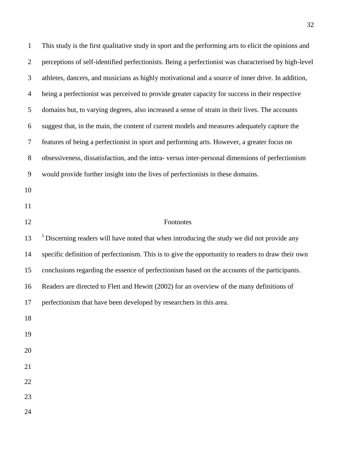This study is the first qualitative study in sport and the performing arts to elicit the opinions and perceptions of self-identified perfectionists. Being a perfectionist was characterised by high-level athletes, dancers, and musicians as highly motivational and a source of inner drive. In addition, being a perfectionist was perceived to provide greater capacity for success in their respective domains but, to varying degrees, also increased a sense of strain in their lives. The accounts suggest that, in the main, the content of current models and measures adequately capture the features of being a perfectionist in sport and performing arts. However, a greater focus on obsessiveness, dissatisfaction, and the intra- versus inter-personal dimensions of perfectionism would provide further insight into the lives of perfectionists in these domains. Footnotes <sup>1</sup> Discerning readers will have noted that when introducing the study we did not provide any specific definition of perfectionism. This is to give the opportunity to readers to draw their own conclusions regarding the essence of perfectionism based on the accounts of the participants. Readers are directed to Flett and Hewitt (2002) for an overview of the many definitions of perfectionism that have been developed by researchers in this area.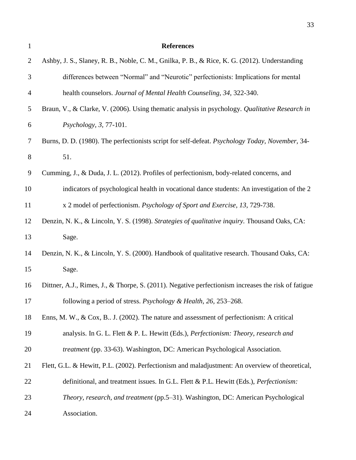| $\mathbf{1}$   | <b>References</b>                                                                                   |
|----------------|-----------------------------------------------------------------------------------------------------|
| $\overline{2}$ | Ashby, J. S., Slaney, R. B., Noble, C. M., Gnilka, P. B., & Rice, K. G. (2012). Understanding       |
| 3              | differences between "Normal" and "Neurotic" perfectionists: Implications for mental                 |
| $\overline{4}$ | health counselors. Journal of Mental Health Counseling, 34, 322-340.                                |
| 5              | Braun, V., & Clarke, V. (2006). Using thematic analysis in psychology. Qualitative Research in      |
| 6              | $Psychology, 3, 77-101.$                                                                            |
| 7              | Burns, D. D. (1980). The perfectionists script for self-defeat. Psychology Today, November, 34-     |
| $8\,$          | 51.                                                                                                 |
| 9              | Cumming, J., & Duda, J. L. (2012). Profiles of perfectionism, body-related concerns, and            |
| 10             | indicators of psychological health in vocational dance students: An investigation of the 2          |
| 11             | x 2 model of perfectionism. Psychology of Sport and Exercise, 13, 729-738.                          |
| 12             | Denzin, N. K., & Lincoln, Y. S. (1998). Strategies of qualitative inquiry. Thousand Oaks, CA:       |
| 13             | Sage.                                                                                               |
| 14             | Denzin, N. K., & Lincoln, Y. S. (2000). Handbook of qualitative research. Thousand Oaks, CA:        |
| 15             | Sage.                                                                                               |
| 16             | Dittner, A.J., Rimes, J., & Thorpe, S. (2011). Negative perfectionism increases the risk of fatigue |
| 17             | following a period of stress. <i>Psychology &amp; Health</i> , 26, 253–268.                         |
| 18             | Enns, M. W., & Cox, B J. (2002). The nature and assessment of perfectionism: A critical             |
| 19             | analysis. In G. L. Flett & P. L. Hewitt (Eds.), Perfectionism: Theory, research and                 |
| 20             | treatment (pp. 33-63). Washington, DC: American Psychological Association.                          |
| 21             | Flett, G.L. & Hewitt, P.L. (2002). Perfectionism and maladjustment: An overview of theoretical,     |
| 22             | definitional, and treatment issues. In G.L. Flett & P.L. Hewitt (Eds.), Perfectionism:              |
| 23             | Theory, research, and treatment (pp.5–31). Washington, DC: American Psychological                   |
| 24             | Association.                                                                                        |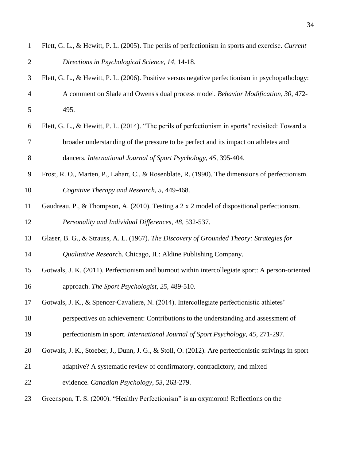| $\mathbf{1}$   | Flett, G. L., & Hewitt, P. L. (2005). The perils of perfectionism in sports and exercise. Current    |
|----------------|------------------------------------------------------------------------------------------------------|
| $\overline{2}$ | Directions in Psychological Science, 14, 14-18.                                                      |
| 3              | Flett, G. L., & Hewitt, P. L. (2006). Positive versus negative perfectionism in psychopathology:     |
| $\overline{4}$ | A comment on Slade and Owens's dual process model. Behavior Modification, 30, 472-                   |
| 5              | 495.                                                                                                 |
| 6              | Flett, G. L., & Hewitt, P. L. (2014). "The perils of perfectionism in sports" revisited: Toward a    |
| 7              | broader understanding of the pressure to be perfect and its impact on athletes and                   |
| $8\,$          | dancers. International Journal of Sport Psychology, 45, 395-404.                                     |
| 9              | Frost, R. O., Marten, P., Lahart, C., & Rosenblate, R. (1990). The dimensions of perfectionism.      |
| 10             | Cognitive Therapy and Research, 5, 449-468.                                                          |
| 11             | Gaudreau, P., & Thompson, A. (2010). Testing a 2 x 2 model of dispositional perfectionism.           |
| 12             | Personality and Individual Differences, 48, 532-537.                                                 |
| 13             | Glaser, B. G., & Strauss, A. L. (1967). The Discovery of Grounded Theory: Strategies for             |
| 14             | Qualitative Research. Chicago, IL: Aldine Publishing Company.                                        |
| 15             | Gotwals, J. K. (2011). Perfectionism and burnout within intercollegiate sport: A person-oriented     |
| 16             | approach. The Sport Psychologist, 25, 489-510.                                                       |
| 17             | Gotwals, J. K., & Spencer-Cavaliere, N. (2014). Intercollegiate perfectionistic athletes'            |
| 18             | perspectives on achievement: Contributions to the understanding and assessment of                    |
| 19             | perfectionism in sport. International Journal of Sport Psychology, 45, 271-297.                      |
| 20             | Gotwals, J. K., Stoeber, J., Dunn, J. G., & Stoll, O. (2012). Are perfectionistic strivings in sport |
| 21             | adaptive? A systematic review of confirmatory, contradictory, and mixed                              |
| 22             | evidence. Canadian Psychology, 53, 263-279.                                                          |
| 23             | Greenspon, T. S. (2000). "Healthy Perfectionism" is an oxymoron! Reflections on the                  |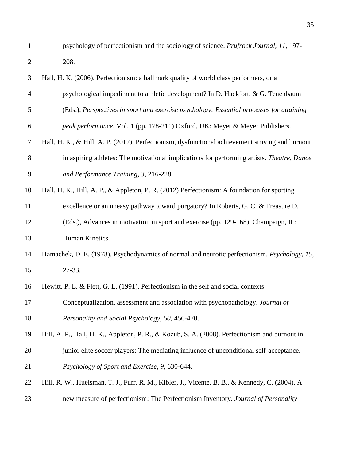| 3              | Hall, H. K. (2006). Perfectionism: a hallmark quality of world class performers, or a            |
|----------------|--------------------------------------------------------------------------------------------------|
| $\overline{4}$ | psychological impediment to athletic development? In D. Hackfort, & G. Tenenbaum                 |
| 5              | (Eds.), Perspectives in sport and exercise psychology: Essential processes for attaining         |
| 6              | peak performance, Vol. 1 (pp. 178-211) Oxford, UK: Meyer & Meyer Publishers.                     |
| $\overline{7}$ | Hall, H. K., & Hill, A. P. (2012). Perfectionism, dysfunctional achievement striving and burnout |
| $8\,$          | in aspiring athletes: The motivational implications for performing artists. Theatre, Dance       |
| $\overline{9}$ | and Performance Training, 3, 216-228.                                                            |
| 10             | Hall, H. K., Hill, A. P., & Appleton, P. R. (2012) Perfectionism: A foundation for sporting      |
| 11             | excellence or an uneasy pathway toward purgatory? In Roberts, G. C. & Treasure D.                |
| 12             | (Eds.), Advances in motivation in sport and exercise (pp. 129-168). Champaign, IL:               |
| 13             | Human Kinetics.                                                                                  |
| 14             | Hamachek, D. E. (1978). Psychodynamics of normal and neurotic perfectionism. Psychology, 15,     |
| 15             | 27-33.                                                                                           |
| 16             | Hewitt, P. L. & Flett, G. L. (1991). Perfectionism in the self and social contexts:              |
| 17             | Conceptualization, assessment and association with psychopathology. Journal of                   |
| 18             | Personality and Social Psychology, 60, 456-470.                                                  |
| 19             | Hill, A. P., Hall, H. K., Appleton, P. R., & Kozub, S. A. (2008). Perfectionism and burnout in   |
| 20             | junior elite soccer players: The mediating influence of unconditional self-acceptance.           |
| 21             | Psychology of Sport and Exercise, 9, 630-644.                                                    |
| 22             | Hill, R. W., Huelsman, T. J., Furr, R. M., Kibler, J., Vicente, B. B., & Kennedy, C. (2004). A   |
| 23             | new measure of perfectionism: The Perfectionism Inventory. Journal of Personality                |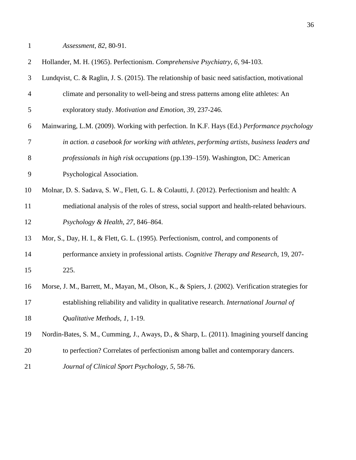*Assessment, 82,* 80-91.

| 3                | Lundqvist, C. & Raglin, J. S. (2015). The relationship of basic need satisfaction, motivational   |
|------------------|---------------------------------------------------------------------------------------------------|
| $\overline{4}$   | climate and personality to well-being and stress patterns among elite athletes: An                |
| 5                | exploratory study. Motivation and Emotion, 39, 237-246.                                           |
| 6                | Mainwaring, L.M. (2009). Working with perfection. In K.F. Hays (Ed.) Performance psychology       |
| $\boldsymbol{7}$ | in action. a casebook for working with athletes, performing artists, business leaders and         |
| $8\,$            | professionals in high risk occupations (pp.139-159). Washington, DC: American                     |
| 9                | Psychological Association.                                                                        |
| 10               | Molnar, D. S. Sadava, S. W., Flett, G. L. & Colautti, J. (2012). Perfectionism and health: A      |
| 11               | mediational analysis of the roles of stress, social support and health-related behaviours.        |
| 12               | Psychology & Health, 27, 846-864.                                                                 |
| 13               | Mor, S., Day, H. I., & Flett, G. L. (1995). Perfectionism, control, and components of             |
| 14               | performance anxiety in professional artists. Cognitive Therapy and Research, 19, 207-             |
| 15               | 225.                                                                                              |
| 16               | Morse, J. M., Barrett, M., Mayan, M., Olson, K., & Spiers, J. (2002). Verification strategies for |
| 17               | establishing reliability and validity in qualitative research. International Journal of           |
| 18               | Qualitative Methods, 1, 1-19.                                                                     |
| 19               | Nordin-Bates, S. M., Cumming, J., Aways, D., & Sharp, L. (2011). Imagining yourself dancing       |
| 20               | to perfection? Correlates of perfectionism among ballet and contemporary dancers.                 |
| 21               | Journal of Clinical Sport Psychology, 5, 58-76.                                                   |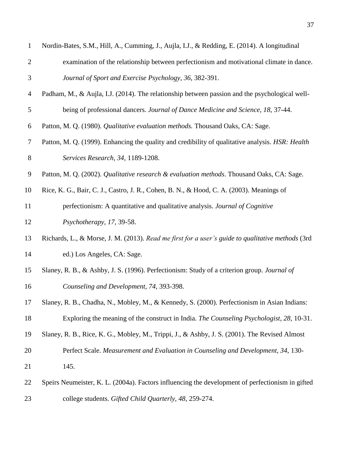| $\mathbf{1}$   | Nordin-Bates, S.M., Hill, A., Cumming, J., Aujla, I.J., & Redding, E. (2014). A longitudinal      |
|----------------|---------------------------------------------------------------------------------------------------|
| $\overline{2}$ | examination of the relationship between perfectionism and motivational climate in dance.          |
| 3              | Journal of Sport and Exercise Psychology, 36, 382-391.                                            |
| $\overline{4}$ | Padham, M., & Aujla, I.J. (2014). The relationship between passion and the psychological well-    |
| 5              | being of professional dancers. Journal of Dance Medicine and Science, 18, 37-44.                  |
| 6              | Patton, M. Q. (1980). Qualitative evaluation methods. Thousand Oaks, CA: Sage.                    |
| 7              | Patton, M. Q. (1999). Enhancing the quality and credibility of qualitative analysis. HSR: Health  |
| $8\,$          | Services Research, 34, 1189-1208.                                                                 |
| 9              | Patton, M. Q. (2002). Qualitative research & evaluation methods. Thousand Oaks, CA: Sage.         |
| 10             | Rice, K. G., Bair, C. J., Castro, J. R., Cohen, B. N., & Hood, C. A. (2003). Meanings of          |
| 11             | perfectionism: A quantitative and qualitative analysis. Journal of Cognitive                      |
| 12             | Psychotherapy, 17, 39-58.                                                                         |
| 13             | Richards, L., & Morse, J. M. (2013). Read me first for a user's guide to qualitative methods (3rd |
| 14             | ed.) Los Angeles, CA: Sage.                                                                       |
| 15             | Slaney, R. B., & Ashby, J. S. (1996). Perfectionism: Study of a criterion group. Journal of       |
| 16             | Counseling and Development, 74, 393-398.                                                          |
| 17             | Slaney, R. B., Chadha, N., Mobley, M., & Kennedy, S. (2000). Perfectionism in Asian Indians:      |
| 18             | Exploring the meaning of the construct in India. The Counseling Psychologist, 28, 10-31.          |
| 19             | Slaney, R. B., Rice, K. G., Mobley, M., Trippi, J., & Ashby, J. S. (2001). The Revised Almost     |
| 20             | Perfect Scale. Measurement and Evaluation in Counseling and Development, 34, 130-                 |
| 21             | 145.                                                                                              |
| 22             | Speirs Neumeister, K. L. (2004a). Factors influencing the development of perfectionism in gifted  |
| 23             | college students. Gifted Child Quarterly, 48, 259-274.                                            |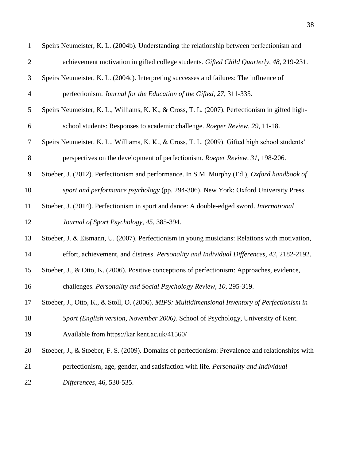| $\mathbf 1$    | Speirs Neumeister, K. L. (2004b). Understanding the relationship between perfectionism and        |
|----------------|---------------------------------------------------------------------------------------------------|
| $\overline{2}$ | achievement motivation in gifted college students. Gifted Child Quarterly, 48, 219-231.           |
| 3              | Speirs Neumeister, K. L. (2004c). Interpreting successes and failures: The influence of           |
| $\overline{4}$ | perfectionism. Journal for the Education of the Gifted, 27, 311-335.                              |
| 5              | Speirs Neumeister, K. L., Williams, K. K., & Cross, T. L. (2007). Perfectionism in gifted high-   |
| 6              | school students: Responses to academic challenge. Roeper Review, 29, 11-18.                       |
| 7              | Speirs Neumeister, K. L., Williams, K. K., & Cross, T. L. (2009). Gifted high school students'    |
| $8\,$          | perspectives on the development of perfectionism. Roeper Review, 31, 198-206.                     |
| 9              | Stoeber, J. (2012). Perfectionism and performance. In S.M. Murphy (Ed.), Oxford handbook of       |
| 10             | sport and performance psychology (pp. 294-306). New York: Oxford University Press.                |
| 11             | Stoeber, J. (2014). Perfectionism in sport and dance: A double-edged sword. International         |
| 12             | Journal of Sport Psychology, 45, 385-394.                                                         |
| 13             | Stoeber, J. & Eismann, U. (2007). Perfectionism in young musicians: Relations with motivation,    |
| 14             | effort, achievement, and distress. Personality and Individual Differences, 43, 2182-2192.         |
| 15             | Stoeber, J., & Otto, K. (2006). Positive conceptions of perfectionism: Approaches, evidence,      |
| 16             | challenges. Personality and Social Psychology Review, 10, 295-319.                                |
| 17             | Stoeber, J., Otto, K., & Stoll, O. (2006). MIPS: Multidimensional Inventory of Perfectionism in   |
| 18             | Sport (English version, November 2006). School of Psychology, University of Kent.                 |
| 19             | Available from https://kar.kent.ac.uk/41560/                                                      |
| 20             | Stoeber, J., & Stoeber, F. S. (2009). Domains of perfectionism: Prevalence and relationships with |
| 21             | perfectionism, age, gender, and satisfaction with life. Personality and Individual                |
| 22             | Differences, 46, 530-535.                                                                         |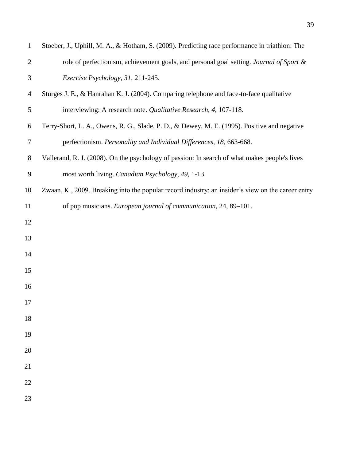| $\mathbf{1}$   | Stoeber, J., Uphill, M. A., & Hotham, S. (2009). Predicting race performance in triathlon: The    |
|----------------|---------------------------------------------------------------------------------------------------|
| $\mathfrak{2}$ | role of perfectionism, achievement goals, and personal goal setting. Journal of Sport &           |
| $\mathfrak{Z}$ | Exercise Psychology, 31, 211-245.                                                                 |
| $\overline{4}$ | Sturges J. E., & Hanrahan K. J. (2004). Comparing telephone and face-to-face qualitative          |
| 5              | interviewing: A research note. Qualitative Research, 4, 107-118.                                  |
| 6              | Terry-Short, L. A., Owens, R. G., Slade, P. D., & Dewey, M. E. (1995). Positive and negative      |
| $\tau$         | perfectionism. Personality and Individual Differences, 18, 663-668.                               |
| $8\,$          | Vallerand, R. J. (2008). On the psychology of passion: In search of what makes people's lives     |
| $\mathbf{9}$   | most worth living. Canadian Psychology, 49, 1-13.                                                 |
| 10             | Zwaan, K., 2009. Breaking into the popular record industry: an insider's view on the career entry |
| 11             | of pop musicians. European journal of communication, 24, 89-101.                                  |
| 12             |                                                                                                   |
| 13             |                                                                                                   |
| 14             |                                                                                                   |
| 15             |                                                                                                   |
| 16             |                                                                                                   |
| 17             |                                                                                                   |
| 18             |                                                                                                   |
| 19             |                                                                                                   |
| 20             |                                                                                                   |
| 21             |                                                                                                   |
| 22             |                                                                                                   |
| 23             |                                                                                                   |